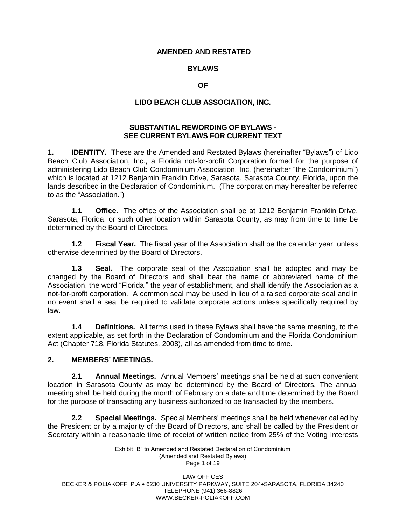### **AMENDED AND RESTATED**

## **BYLAWS**

### **OF**

## **LIDO BEACH CLUB ASSOCIATION, INC.**

### **SUBSTANTIAL REWORDING OF BYLAWS - SEE CURRENT BYLAWS FOR CURRENT TEXT**

**1. IDENTITY.** These are the Amended and Restated Bylaws (hereinafter "Bylaws") of Lido Beach Club Association, Inc., a Florida not-for-profit Corporation formed for the purpose of administering Lido Beach Club Condominium Association, Inc. (hereinafter "the Condominium") which is located at 1212 Benjamin Franklin Drive, Sarasota, Sarasota County, Florida, upon the lands described in the Declaration of Condominium. (The corporation may hereafter be referred to as the "Association.")

**1.1 Office.** The office of the Association shall be at 1212 Benjamin Franklin Drive, Sarasota, Florida, or such other location within Sarasota County, as may from time to time be determined by the Board of Directors.

**1.2 Fiscal Year.** The fiscal year of the Association shall be the calendar year, unless otherwise determined by the Board of Directors.

**1.3 Seal.** The corporate seal of the Association shall be adopted and may be changed by the Board of Directors and shall bear the name or abbreviated name of the Association, the word "Florida," the year of establishment, and shall identify the Association as a not-for-profit corporation. A common seal may be used in lieu of a raised corporate seal and in no event shall a seal be required to validate corporate actions unless specifically required by law.

**1.4 Definitions.** All terms used in these Bylaws shall have the same meaning, to the extent applicable, as set forth in the Declaration of Condominium and the Florida Condominium Act (Chapter 718, Florida Statutes, 2008), all as amended from time to time.

### **2. MEMBERS' MEETINGS.**

**2.1 Annual Meetings.** Annual Members' meetings shall be held at such convenient location in Sarasota County as may be determined by the Board of Directors. The annual meeting shall be held during the month of February on a date and time determined by the Board for the purpose of transacting any business authorized to be transacted by the members.

**2.2 Special Meetings.** Special Members' meetings shall be held whenever called by the President or by a majority of the Board of Directors, and shall be called by the President or Secretary within a reasonable time of receipt of written notice from 25% of the Voting Interests

> Exhibit "B" to Amended and Restated Declaration of Condominium (Amended and Restated Bylaws) Page 1 of 19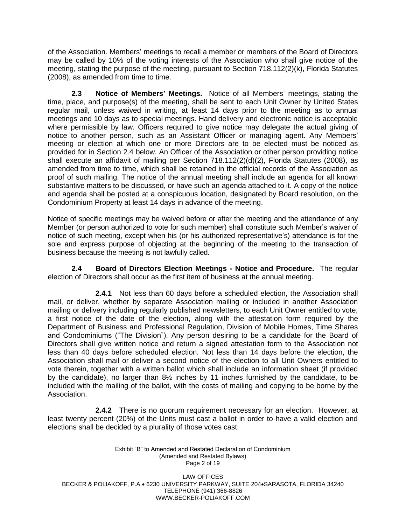of the Association. Members' meetings to recall a member or members of the Board of Directors may be called by 10% of the voting interests of the Association who shall give notice of the meeting, stating the purpose of the meeting, pursuant to Section 718.112(2)(k), Florida Statutes (2008), as amended from time to time.

**2.3 Notice of Members' Meetings.** Notice of all Members' meetings, stating the time, place, and purpose(s) of the meeting, shall be sent to each Unit Owner by United States regular mail, unless waived in writing, at least 14 days prior to the meeting as to annual meetings and 10 days as to special meetings. Hand delivery and electronic notice is acceptable where permissible by law. Officers required to give notice may delegate the actual giving of notice to another person, such as an Assistant Officer or managing agent. Any Members' meeting or election at which one or more Directors are to be elected must be noticed as provided for in Section 2.4 below. An Officer of the Association or other person providing notice shall execute an affidavit of mailing per Section 718.112(2)(d)(2), Florida Statutes (2008), as amended from time to time, which shall be retained in the official records of the Association as proof of such mailing. The notice of the annual meeting shall include an agenda for all known substantive matters to be discussed, or have such an agenda attached to it. A copy of the notice and agenda shall be posted at a conspicuous location, designated by Board resolution, on the Condominium Property at least 14 days in advance of the meeting.

Notice of specific meetings may be waived before or after the meeting and the attendance of any Member (or person authorized to vote for such member) shall constitute such Member's waiver of notice of such meeting, except when his (or his authorized representative's) attendance is for the sole and express purpose of objecting at the beginning of the meeting to the transaction of business because the meeting is not lawfully called.

**2.4 Board of Directors Election Meetings - Notice and Procedure.** The regular election of Directors shall occur as the first item of business at the annual meeting.

**2.4.1** Not less than 60 days before a scheduled election, the Association shall mail, or deliver, whether by separate Association mailing or included in another Association mailing or delivery including regularly published newsletters, to each Unit Owner entitled to vote, a first notice of the date of the election, along with the attestation form required by the Department of Business and Professional Regulation, Division of Mobile Homes, Time Shares and Condominiums ("The Division"). Any person desiring to be a candidate for the Board of Directors shall give written notice and return a signed attestation form to the Association not less than 40 days before scheduled election. Not less than 14 days before the election, the Association shall mail or deliver a second notice of the election to all Unit Owners entitled to vote therein, together with a written ballot which shall include an information sheet (if provided by the candidate), no larger than 8½ inches by 11 inches furnished by the candidate, to be included with the mailing of the ballot, with the costs of mailing and copying to be borne by the Association.

**2.4.2** There is no quorum requirement necessary for an election. However, at least twenty percent (20%) of the Units must cast a ballot in order to have a valid election and elections shall be decided by a plurality of those votes cast.

> Exhibit "B" to Amended and Restated Declaration of Condominium (Amended and Restated Bylaws) Page 2 of 19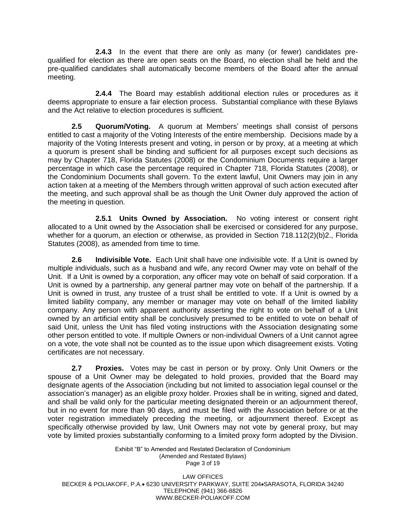**2.4.3** In the event that there are only as many (or fewer) candidates prequalified for election as there are open seats on the Board, no election shall be held and the pre-qualified candidates shall automatically become members of the Board after the annual meeting.

**2.4.4** The Board may establish additional election rules or procedures as it deems appropriate to ensure a fair election process. Substantial compliance with these Bylaws and the Act relative to election procedures is sufficient.

**2.5 Quorum/Voting.** A quorum at Members' meetings shall consist of persons entitled to cast a majority of the Voting Interests of the entire membership. Decisions made by a majority of the Voting Interests present and voting, in person or by proxy, at a meeting at which a quorum is present shall be binding and sufficient for all purposes except such decisions as may by Chapter 718, Florida Statutes (2008) or the Condominium Documents require a larger percentage in which case the percentage required in Chapter 718, Florida Statutes (2008), or the Condominium Documents shall govern. To the extent lawful, Unit Owners may join in any action taken at a meeting of the Members through written approval of such action executed after the meeting, and such approval shall be as though the Unit Owner duly approved the action of the meeting in question.

**2.5.1 Units Owned by Association.** No voting interest or consent right allocated to a Unit owned by the Association shall be exercised or considered for any purpose, whether for a quorum, an election or otherwise, as provided in Section 718.112(2)(b)2., Florida Statutes (2008), as amended from time to time.

**2.6 Indivisible Vote.** Each Unit shall have one indivisible vote. If a Unit is owned by multiple individuals, such as a husband and wife, any record Owner may vote on behalf of the Unit. If a Unit is owned by a corporation, any officer may vote on behalf of said corporation. If a Unit is owned by a partnership, any general partner may vote on behalf of the partnership. If a Unit is owned in trust, any trustee of a trust shall be entitled to vote. If a Unit is owned by a limited liability company, any member or manager may vote on behalf of the limited liability company. Any person with apparent authority asserting the right to vote on behalf of a Unit owned by an artificial entity shall be conclusively presumed to be entitled to vote on behalf of said Unit, unless the Unit has filed voting instructions with the Association designating some other person entitled to vote. If multiple Owners or non-individual Owners of a Unit cannot agree on a vote, the vote shall not be counted as to the issue upon which disagreement exists. Voting certificates are not necessary.

**2.7 Proxies.** Votes may be cast in person or by proxy. Only Unit Owners or the spouse of a Unit Owner may be delegated to hold proxies, provided that the Board may designate agents of the Association (including but not limited to association legal counsel or the association's manager) as an eligible proxy holder. Proxies shall be in writing, signed and dated, and shall be valid only for the particular meeting designated therein or an adjournment thereof, but in no event for more than 90 days, and must be filed with the Association before or at the voter registration immediately preceding the meeting, or adjournment thereof. Except as specifically otherwise provided by law, Unit Owners may not vote by general proxy, but may vote by limited proxies substantially conforming to a limited proxy form adopted by the Division.

> Exhibit "B" to Amended and Restated Declaration of Condominium (Amended and Restated Bylaws) Page 3 of 19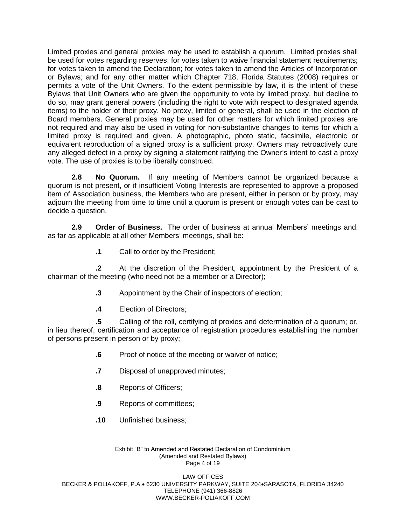Limited proxies and general proxies may be used to establish a quorum. Limited proxies shall be used for votes regarding reserves; for votes taken to waive financial statement requirements; for votes taken to amend the Declaration; for votes taken to amend the Articles of Incorporation or Bylaws; and for any other matter which Chapter 718, Florida Statutes (2008) requires or permits a vote of the Unit Owners. To the extent permissible by law, it is the intent of these Bylaws that Unit Owners who are given the opportunity to vote by limited proxy, but decline to do so, may grant general powers (including the right to vote with respect to designated agenda items) to the holder of their proxy. No proxy, limited or general, shall be used in the election of Board members. General proxies may be used for other matters for which limited proxies are not required and may also be used in voting for non-substantive changes to items for which a limited proxy is required and given. A photographic, photo static, facsimile, electronic or equivalent reproduction of a signed proxy is a sufficient proxy. Owners may retroactively cure any alleged defect in a proxy by signing a statement ratifying the Owner's intent to cast a proxy vote. The use of proxies is to be liberally construed.

**2.8 No Quorum.** If any meeting of Members cannot be organized because a quorum is not present, or if insufficient Voting Interests are represented to approve a proposed item of Association business, the Members who are present, either in person or by proxy, may adjourn the meeting from time to time until a quorum is present or enough votes can be cast to decide a question.

**2.9 Order of Business.** The order of business at annual Members' meetings and, as far as applicable at all other Members' meetings, shall be:

**.1** Call to order by the President;

**.2** At the discretion of the President, appointment by the President of a chairman of the meeting (who need not be a member or a Director);

- **.3** Appointment by the Chair of inspectors of election;
- **.4** Election of Directors;

**.5** Calling of the roll, certifying of proxies and determination of a quorum; or, in lieu thereof, certification and acceptance of registration procedures establishing the number of persons present in person or by proxy;

- **.6** Proof of notice of the meeting or waiver of notice;
- **.7** Disposal of unapproved minutes;
- **.8** Reports of Officers;
- **.9** Reports of committees;
- **.10** Unfinished business;

#### Exhibit "B" to Amended and Restated Declaration of Condominium (Amended and Restated Bylaws) Page 4 of 19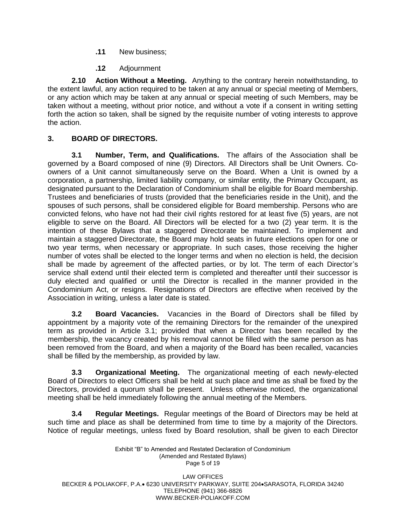- **.11** New business;
- **.12** Adjournment

**2.10 Action Without a Meeting.** Anything to the contrary herein notwithstanding, to the extent lawful, any action required to be taken at any annual or special meeting of Members, or any action which may be taken at any annual or special meeting of such Members, may be taken without a meeting, without prior notice, and without a vote if a consent in writing setting forth the action so taken, shall be signed by the requisite number of voting interests to approve the action.

## **3. BOARD OF DIRECTORS.**

**3.1 Number, Term, and Qualifications.** The affairs of the Association shall be governed by a Board composed of nine (9) Directors. All Directors shall be Unit Owners. Coowners of a Unit cannot simultaneously serve on the Board. When a Unit is owned by a corporation, a partnership, limited liability company, or similar entity, the Primary Occupant, as designated pursuant to the Declaration of Condominium shall be eligible for Board membership. Trustees and beneficiaries of trusts (provided that the beneficiaries reside in the Unit), and the spouses of such persons, shall be considered eligible for Board membership. Persons who are convicted felons, who have not had their civil rights restored for at least five (5) years, are not eligible to serve on the Board. All Directors will be elected for a two (2) year term. It is the intention of these Bylaws that a staggered Directorate be maintained. To implement and maintain a staggered Directorate, the Board may hold seats in future elections open for one or two year terms, when necessary or appropriate. In such cases, those receiving the higher number of votes shall be elected to the longer terms and when no election is held, the decision shall be made by agreement of the affected parties, or by lot. The term of each Director's service shall extend until their elected term is completed and thereafter until their successor is duly elected and qualified or until the Director is recalled in the manner provided in the Condominium Act, or resigns. Resignations of Directors are effective when received by the Association in writing, unless a later date is stated.

**3.2 Board Vacancies.** Vacancies in the Board of Directors shall be filled by appointment by a majority vote of the remaining Directors for the remainder of the unexpired term as provided in Article 3.1; provided that when a Director has been recalled by the membership, the vacancy created by his removal cannot be filled with the same person as has been removed from the Board, and when a majority of the Board has been recalled, vacancies shall be filled by the membership, as provided by law.

**3.3 Organizational Meeting.** The organizational meeting of each newly-elected Board of Directors to elect Officers shall be held at such place and time as shall be fixed by the Directors, provided a quorum shall be present. Unless otherwise noticed, the organizational meeting shall be held immediately following the annual meeting of the Members.

**3.4 Regular Meetings.** Regular meetings of the Board of Directors may be held at such time and place as shall be determined from time to time by a majority of the Directors. Notice of regular meetings, unless fixed by Board resolution, shall be given to each Director

#### Exhibit "B" to Amended and Restated Declaration of Condominium (Amended and Restated Bylaws) Page 5 of 19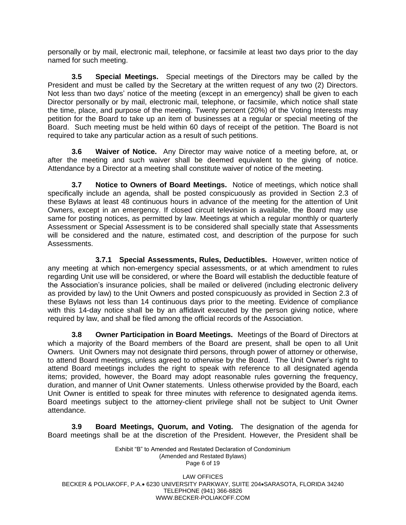personally or by mail, electronic mail, telephone, or facsimile at least two days prior to the day named for such meeting.

**3.5 Special Meetings.** Special meetings of the Directors may be called by the President and must be called by the Secretary at the written request of any two (2) Directors. Not less than two days' notice of the meeting (except in an emergency) shall be given to each Director personally or by mail, electronic mail, telephone, or facsimile, which notice shall state the time, place, and purpose of the meeting. Twenty percent (20%) of the Voting Interests may petition for the Board to take up an item of businesses at a regular or special meeting of the Board. Such meeting must be held within 60 days of receipt of the petition. The Board is not required to take any particular action as a result of such petitions.

**3.6 Waiver of Notice.** Any Director may waive notice of a meeting before, at, or after the meeting and such waiver shall be deemed equivalent to the giving of notice. Attendance by a Director at a meeting shall constitute waiver of notice of the meeting.

**3.7 Notice to Owners of Board Meetings.** Notice of meetings, which notice shall specifically include an agenda, shall be posted conspicuously as provided in Section 2.3 of these Bylaws at least 48 continuous hours in advance of the meeting for the attention of Unit Owners, except in an emergency. If closed circuit television is available, the Board may use same for posting notices, as permitted by law. Meetings at which a regular monthly or quarterly Assessment or Special Assessment is to be considered shall specially state that Assessments will be considered and the nature, estimated cost, and description of the purpose for such Assessments.

**3.7.1 Special Assessments, Rules, Deductibles.** However, written notice of any meeting at which non-emergency special assessments, or at which amendment to rules regarding Unit use will be considered, or where the Board will establish the deductible feature of the Association's insurance policies, shall be mailed or delivered (including electronic delivery as provided by law) to the Unit Owners and posted conspicuously as provided in Section 2.3 of these Bylaws not less than 14 continuous days prior to the meeting. Evidence of compliance with this 14-day notice shall be by an affidavit executed by the person giving notice, where required by law, and shall be filed among the official records of the Association.

**3.8 Owner Participation in Board Meetings.** Meetings of the Board of Directors at which a majority of the Board members of the Board are present, shall be open to all Unit Owners. Unit Owners may not designate third persons, through power of attorney or otherwise, to attend Board meetings, unless agreed to otherwise by the Board. The Unit Owner's right to attend Board meetings includes the right to speak with reference to all designated agenda items; provided, however, the Board may adopt reasonable rules governing the frequency, duration, and manner of Unit Owner statements. Unless otherwise provided by the Board, each Unit Owner is entitled to speak for three minutes with reference to designated agenda items. Board meetings subject to the attorney-client privilege shall not be subject to Unit Owner attendance.

**3.9 Board Meetings, Quorum, and Voting.** The designation of the agenda for Board meetings shall be at the discretion of the President. However, the President shall be

> Exhibit "B" to Amended and Restated Declaration of Condominium (Amended and Restated Bylaws) Page 6 of 19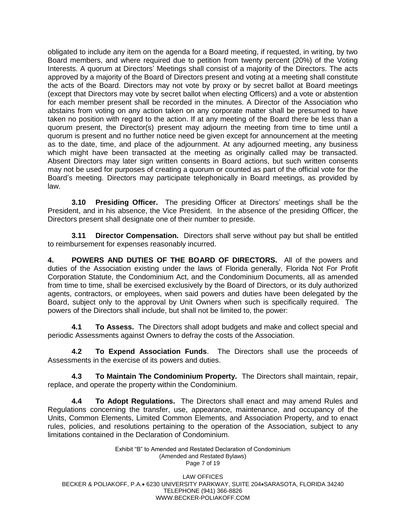obligated to include any item on the agenda for a Board meeting, if requested, in writing, by two Board members, and where required due to petition from twenty percent (20%) of the Voting Interests. A quorum at Directors' Meetings shall consist of a majority of the Directors. The acts approved by a majority of the Board of Directors present and voting at a meeting shall constitute the acts of the Board. Directors may not vote by proxy or by secret ballot at Board meetings (except that Directors may vote by secret ballot when electing Officers) and a vote or abstention for each member present shall be recorded in the minutes. A Director of the Association who abstains from voting on any action taken on any corporate matter shall be presumed to have taken no position with regard to the action. If at any meeting of the Board there be less than a quorum present, the Director(s) present may adjourn the meeting from time to time until a quorum is present and no further notice need be given except for announcement at the meeting as to the date, time, and place of the adjournment. At any adjourned meeting, any business which might have been transacted at the meeting as originally called may be transacted. Absent Directors may later sign written consents in Board actions, but such written consents may not be used for purposes of creating a quorum or counted as part of the official vote for the Board's meeting. Directors may participate telephonically in Board meetings, as provided by law.

**3.10 Presiding Officer.** The presiding Officer at Directors' meetings shall be the President, and in his absence, the Vice President. In the absence of the presiding Officer, the Directors present shall designate one of their number to preside.

**3.11 Director Compensation.** Directors shall serve without pay but shall be entitled to reimbursement for expenses reasonably incurred.

**4. POWERS AND DUTIES OF THE BOARD OF DIRECTORS.** All of the powers and duties of the Association existing under the laws of Florida generally, Florida Not For Profit Corporation Statute, the Condominium Act, and the Condominium Documents, all as amended from time to time, shall be exercised exclusively by the Board of Directors, or its duly authorized agents, contractors, or employees, when said powers and duties have been delegated by the Board, subject only to the approval by Unit Owners when such is specifically required. The powers of the Directors shall include, but shall not be limited to, the power:

**4.1 To Assess.** The Directors shall adopt budgets and make and collect special and periodic Assessments against Owners to defray the costs of the Association.

**4.2 To Expend Association Funds**. The Directors shall use the proceeds of Assessments in the exercise of its powers and duties.

**4.3 To Maintain The Condominium Property.** The Directors shall maintain, repair, replace, and operate the property within the Condominium.

**4.4 To Adopt Regulations.** The Directors shall enact and may amend Rules and Regulations concerning the transfer, use, appearance, maintenance, and occupancy of the Units, Common Elements, Limited Common Elements, and Association Property, and to enact rules, policies, and resolutions pertaining to the operation of the Association, subject to any limitations contained in the Declaration of Condominium.

#### Exhibit "B" to Amended and Restated Declaration of Condominium (Amended and Restated Bylaws) Page 7 of 19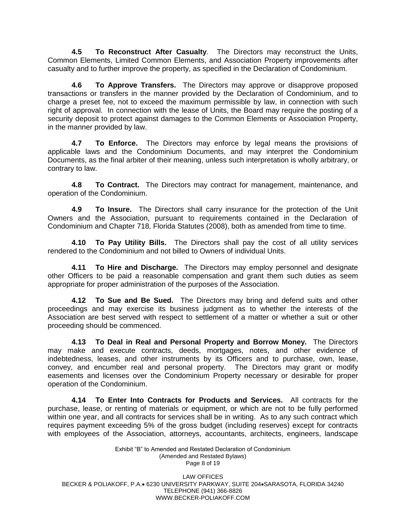**4.5 To Reconstruct After Casualty**. The Directors may reconstruct the Units, Common Elements, Limited Common Elements, and Association Property improvements after casualty and to further improve the property, as specified in the Declaration of Condominium.

**4.6 To Approve Transfers.** The Directors may approve or disapprove proposed transactions or transfers in the manner provided by the Declaration of Condominium, and to charge a preset fee, not to exceed the maximum permissible by law, in connection with such right of approval. In connection with the lease of Units, the Board may require the posting of a security deposit to protect against damages to the Common Elements or Association Property, in the manner provided by law.

**4.7 To Enforce.** The Directors may enforce by legal means the provisions of applicable laws and the Condominium Documents, and may interpret the Condominium Documents, as the final arbiter of their meaning, unless such interpretation is wholly arbitrary, or contrary to law.

**4.8 To Contract.** The Directors may contract for management, maintenance, and operation of the Condominium.

**4.9 To Insure.** The Directors shall carry insurance for the protection of the Unit Owners and the Association, pursuant to requirements contained in the Declaration of Condominium and Chapter 718, Florida Statutes (2008), both as amended from time to time.

**4.10 To Pay Utility Bills.** The Directors shall pay the cost of all utility services rendered to the Condominium and not billed to Owners of individual Units.

**4.11 To Hire and Discharge.** The Directors may employ personnel and designate other Officers to be paid a reasonable compensation and grant them such duties as seem appropriate for proper administration of the purposes of the Association.

**4.12 To Sue and Be Sued.** The Directors may bring and defend suits and other proceedings and may exercise its business judgment as to whether the interests of the Association are best served with respect to settlement of a matter or whether a suit or other proceeding should be commenced.

**4.13 To Deal in Real and Personal Property and Borrow Money.** The Directors may make and execute contracts, deeds, mortgages, notes, and other evidence of indebtedness, leases, and other instruments by its Officers and to purchase, own, lease, convey, and encumber real and personal property. The Directors may grant or modify easements and licenses over the Condominium Property necessary or desirable for proper operation of the Condominium.

**4.14 To Enter Into Contracts for Products and Services.** All contracts for the purchase, lease, or renting of materials or equipment, or which are not to be fully performed within one year, and all contracts for services shall be in writing. As to any such contract which requires payment exceeding 5% of the gross budget (including reserves) except for contracts with employees of the Association, attorneys, accountants, architects, engineers, landscape

#### Exhibit "B" to Amended and Restated Declaration of Condominium (Amended and Restated Bylaws) Page 8 of 19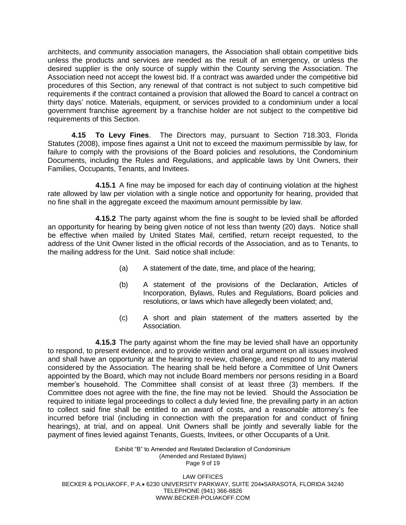architects, and community association managers, the Association shall obtain competitive bids unless the products and services are needed as the result of an emergency, or unless the desired supplier is the only source of supply within the County serving the Association. The Association need not accept the lowest bid. If a contract was awarded under the competitive bid procedures of this Section, any renewal of that contract is not subject to such competitive bid requirements if the contract contained a provision that allowed the Board to cancel a contract on thirty days' notice. Materials, equipment, or services provided to a condominium under a local government franchise agreement by a franchise holder are not subject to the competitive bid requirements of this Section.

**4.15 To Levy Fines**. The Directors may, pursuant to Section 718.303, Florida Statutes (2008), impose fines against a Unit not to exceed the maximum permissible by law, for failure to comply with the provisions of the Board policies and resolutions, the Condominium Documents, including the Rules and Regulations, and applicable laws by Unit Owners, their Families, Occupants, Tenants, and Invitees.

**4.15.1** A fine may be imposed for each day of continuing violation at the highest rate allowed by law per violation with a single notice and opportunity for hearing, provided that no fine shall in the aggregate exceed the maximum amount permissible by law.

**4.15.2** The party against whom the fine is sought to be levied shall be afforded an opportunity for hearing by being given notice of not less than twenty (20) days. Notice shall be effective when mailed by United States Mail, certified, return receipt requested, to the address of the Unit Owner listed in the official records of the Association, and as to Tenants, to the mailing address for the Unit. Said notice shall include:

- (a) A statement of the date, time, and place of the hearing;
- (b) A statement of the provisions of the Declaration, Articles of Incorporation, Bylaws, Rules and Regulations, Board policies and resolutions, or laws which have allegedly been violated; and,
- (c) A short and plain statement of the matters asserted by the Association.

**4.15.3** The party against whom the fine may be levied shall have an opportunity to respond, to present evidence, and to provide written and oral argument on all issues involved and shall have an opportunity at the hearing to review, challenge, and respond to any material considered by the Association. The hearing shall be held before a Committee of Unit Owners appointed by the Board, which may not include Board members nor persons residing in a Board member's household. The Committee shall consist of at least three (3) members. If the Committee does not agree with the fine, the fine may not be levied. Should the Association be required to initiate legal proceedings to collect a duly levied fine, the prevailing party in an action to collect said fine shall be entitled to an award of costs, and a reasonable attorney's fee incurred before trial (including in connection with the preparation for and conduct of fining hearings), at trial, and on appeal. Unit Owners shall be jointly and severally liable for the payment of fines levied against Tenants, Guests, Invitees, or other Occupants of a Unit.

#### Exhibit "B" to Amended and Restated Declaration of Condominium (Amended and Restated Bylaws) Page 9 of 19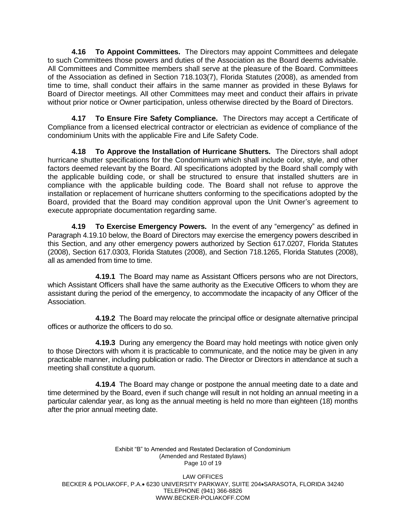**4.16 To Appoint Committees.** The Directors may appoint Committees and delegate to such Committees those powers and duties of the Association as the Board deems advisable. All Committees and Committee members shall serve at the pleasure of the Board. Committees of the Association as defined in Section 718.103(7), Florida Statutes (2008), as amended from time to time, shall conduct their affairs in the same manner as provided in these Bylaws for Board of Director meetings. All other Committees may meet and conduct their affairs in private without prior notice or Owner participation, unless otherwise directed by the Board of Directors.

**4.17 To Ensure Fire Safety Compliance.** The Directors may accept a Certificate of Compliance from a licensed electrical contractor or electrician as evidence of compliance of the condominium Units with the applicable Fire and Life Safety Code.

**4.18 To Approve the Installation of Hurricane Shutters.** The Directors shall adopt hurricane shutter specifications for the Condominium which shall include color, style, and other factors deemed relevant by the Board. All specifications adopted by the Board shall comply with the applicable building code, or shall be structured to ensure that installed shutters are in compliance with the applicable building code. The Board shall not refuse to approve the installation or replacement of hurricane shutters conforming to the specifications adopted by the Board, provided that the Board may condition approval upon the Unit Owner's agreement to execute appropriate documentation regarding same.

**4.19 To Exercise Emergency Powers.** In the event of any "emergency" as defined in Paragraph 4.19.10 below, the Board of Directors may exercise the emergency powers described in this Section, and any other emergency powers authorized by Section 617.0207, Florida Statutes (2008), Section 617.0303, Florida Statutes (2008), and Section 718.1265, Florida Statutes (2008), all as amended from time to time.

**4.19.1** The Board may name as Assistant Officers persons who are not Directors, which Assistant Officers shall have the same authority as the Executive Officers to whom they are assistant during the period of the emergency, to accommodate the incapacity of any Officer of the Association.

**4.19.2** The Board may relocate the principal office or designate alternative principal offices or authorize the officers to do so.

**4.19.3** During any emergency the Board may hold meetings with notice given only to those Directors with whom it is practicable to communicate, and the notice may be given in any practicable manner, including publication or radio. The Director or Directors in attendance at such a meeting shall constitute a quorum.

**4.19.4** The Board may change or postpone the annual meeting date to a date and time determined by the Board, even if such change will result in not holding an annual meeting in a particular calendar year, as long as the annual meeting is held no more than eighteen (18) months after the prior annual meeting date.

> Exhibit "B" to Amended and Restated Declaration of Condominium (Amended and Restated Bylaws) Page 10 of 19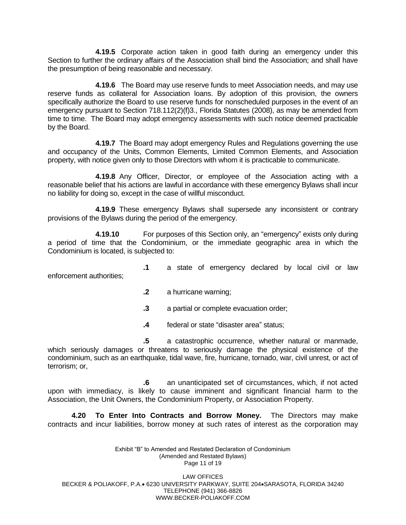**4.19.5** Corporate action taken in good faith during an emergency under this Section to further the ordinary affairs of the Association shall bind the Association; and shall have the presumption of being reasonable and necessary.

**4.19.6** The Board may use reserve funds to meet Association needs, and may use reserve funds as collateral for Association loans. By adoption of this provision, the owners specifically authorize the Board to use reserve funds for nonscheduled purposes in the event of an emergency pursuant to Section 718.112(2)(f)3., Florida Statutes (2008), as may be amended from time to time. The Board may adopt emergency assessments with such notice deemed practicable by the Board.

**4.19.7** The Board may adopt emergency Rules and Regulations governing the use and occupancy of the Units, Common Elements, Limited Common Elements, and Association property, with notice given only to those Directors with whom it is practicable to communicate.

**4.19.8** Any Officer, Director, or employee of the Association acting with a reasonable belief that his actions are lawful in accordance with these emergency Bylaws shall incur no liability for doing so, except in the case of willful misconduct.

**4.19.9** These emergency Bylaws shall supersede any inconsistent or contrary provisions of the Bylaws during the period of the emergency.

**4.19.10** For purposes of this Section only, an "emergency" exists only during a period of time that the Condominium, or the immediate geographic area in which the Condominium is located, is subjected to:

**.1** a state of emergency declared by local civil or law enforcement authorities;

**.2** a hurricane warning;

**.3** a partial or complete evacuation order;

**.4** federal or state "disaster area" status;

**.5** a catastrophic occurrence, whether natural or manmade, which seriously damages or threatens to seriously damage the physical existence of the condominium, such as an earthquake, tidal wave, fire, hurricane, tornado, war, civil unrest, or act of terrorism; or,

**.6** an unanticipated set of circumstances, which, if not acted upon with immediacy, is likely to cause imminent and significant financial harm to the Association, the Unit Owners, the Condominium Property, or Association Property.

**4.20 To Enter Into Contracts and Borrow Money.** The Directors may make contracts and incur liabilities, borrow money at such rates of interest as the corporation may

> Exhibit "B" to Amended and Restated Declaration of Condominium (Amended and Restated Bylaws) Page 11 of 19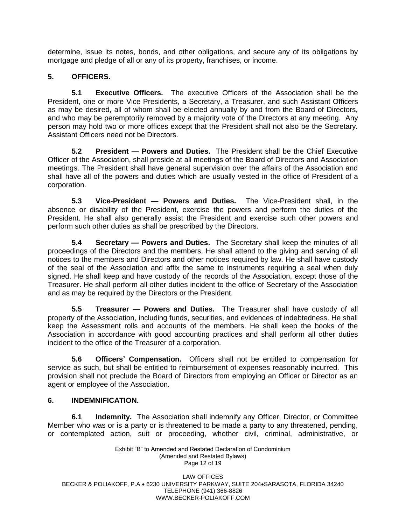determine, issue its notes, bonds, and other obligations, and secure any of its obligations by mortgage and pledge of all or any of its property, franchises, or income.

# **5. OFFICERS.**

**5.1 Executive Officers.** The executive Officers of the Association shall be the President, one or more Vice Presidents, a Secretary, a Treasurer, and such Assistant Officers as may be desired, all of whom shall be elected annually by and from the Board of Directors, and who may be peremptorily removed by a majority vote of the Directors at any meeting. Any person may hold two or more offices except that the President shall not also be the Secretary. Assistant Officers need not be Directors.

**5.2 President — Powers and Duties.** The President shall be the Chief Executive Officer of the Association, shall preside at all meetings of the Board of Directors and Association meetings. The President shall have general supervision over the affairs of the Association and shall have all of the powers and duties which are usually vested in the office of President of a corporation.

**5.3 Vice-President — Powers and Duties.** The Vice-President shall, in the absence or disability of the President, exercise the powers and perform the duties of the President. He shall also generally assist the President and exercise such other powers and perform such other duties as shall be prescribed by the Directors.

**5.4 Secretary — Powers and Duties.** The Secretary shall keep the minutes of all proceedings of the Directors and the members. He shall attend to the giving and serving of all notices to the members and Directors and other notices required by law. He shall have custody of the seal of the Association and affix the same to instruments requiring a seal when duly signed. He shall keep and have custody of the records of the Association, except those of the Treasurer. He shall perform all other duties incident to the office of Secretary of the Association and as may be required by the Directors or the President.

**5.5 Treasurer — Powers and Duties.** The Treasurer shall have custody of all property of the Association, including funds, securities, and evidences of indebtedness. He shall keep the Assessment rolls and accounts of the members. He shall keep the books of the Association in accordance with good accounting practices and shall perform all other duties incident to the office of the Treasurer of a corporation.

**5.6 Officers' Compensation.** Officers shall not be entitled to compensation for service as such, but shall be entitled to reimbursement of expenses reasonably incurred. This provision shall not preclude the Board of Directors from employing an Officer or Director as an agent or employee of the Association.

### **6. INDEMNIFICATION.**

**6.1 Indemnity.** The Association shall indemnify any Officer, Director, or Committee Member who was or is a party or is threatened to be made a party to any threatened, pending, or contemplated action, suit or proceeding, whether civil, criminal, administrative, or

> Exhibit "B" to Amended and Restated Declaration of Condominium (Amended and Restated Bylaws) Page 12 of 19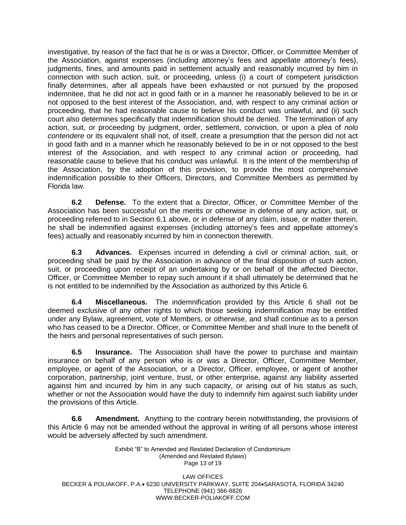investigative, by reason of the fact that he is or was a Director, Officer, or Committee Member of the Association, against expenses (including attorney's fees and appellate attorney's fees), judgments, fines, and amounts paid in settlement actually and reasonably incurred by him in connection with such action, suit, or proceeding, unless (i) a court of competent jurisdiction finally determines, after all appeals have been exhausted or not pursued by the proposed indemnitee, that he did not act in good faith or in a manner he reasonably believed to be in or not opposed to the best interest of the Association, and, with respect to any criminal action or proceeding, that he had reasonable cause to believe his conduct was unlawful, and (ii) such court also determines specifically that indemnification should be denied. The termination of any action, suit, or proceeding by judgment, order, settlement, conviction, or upon a plea of *nolo contendere* or its equivalent shall not, of itself, create a presumption that the person did not act in good faith and in a manner which he reasonably believed to be in or not opposed to the best interest of the Association, and with respect to any criminal action or proceeding, had reasonable cause to believe that his conduct was unlawful. It is the intent of the membership of the Association, by the adoption of this provision, to provide the most comprehensive indemnification possible to their Officers, Directors, and Committee Members as permitted by Florida law.

**6.2 Defense.** To the extent that a Director, Officer, or Committee Member of the Association has been successful on the merits or otherwise in defense of any action, suit, or proceeding referred to in Section 6.1 above, or in defense of any claim, issue, or matter therein, he shall be indemnified against expenses (including attorney's fees and appellate attorney's fees) actually and reasonably incurred by him in connection therewith.

**6.3 Advances.** Expenses incurred in defending a civil or criminal action, suit, or proceeding shall be paid by the Association in advance of the final disposition of such action, suit, or proceeding upon receipt of an undertaking by or on behalf of the affected Director, Officer, or Committee Member to repay such amount if it shall ultimately be determined that he is not entitled to be indemnified by the Association as authorized by this Article 6.

**6.4 Miscellaneous.** The indemnification provided by this Article 6 shall not be deemed exclusive of any other rights to which those seeking indemnification may be entitled under any Bylaw, agreement, vote of Members, or otherwise, and shall continue as to a person who has ceased to be a Director, Officer, or Committee Member and shall inure to the benefit of the heirs and personal representatives of such person.

**6.5 Insurance.** The Association shall have the power to purchase and maintain insurance on behalf of any person who is or was a Director, Officer, Committee Member, employee, or agent of the Association, or a Director, Officer, employee, or agent of another corporation, partnership, joint venture, trust, or other enterprise, against any liability asserted against him and incurred by him in any such capacity, or arising out of his status as such, whether or not the Association would have the duty to indemnify him against such liability under the provisions of this Article.

**6.6 Amendment.** Anything to the contrary herein notwithstanding, the provisions of this Article 6 may not be amended without the approval in writing of all persons whose interest would be adversely affected by such amendment.

> Exhibit "B" to Amended and Restated Declaration of Condominium (Amended and Restated Bylaws) Page 13 of 19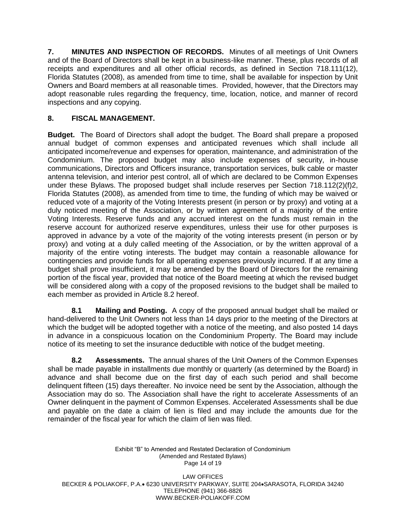**7. MINUTES AND INSPECTION OF RECORDS.** Minutes of all meetings of Unit Owners and of the Board of Directors shall be kept in a business-like manner. These, plus records of all receipts and expenditures and all other official records, as defined in Section 718.111(12), Florida Statutes (2008), as amended from time to time, shall be available for inspection by Unit Owners and Board members at all reasonable times. Provided, however, that the Directors may adopt reasonable rules regarding the frequency, time, location, notice, and manner of record inspections and any copying.

# **8. FISCAL MANAGEMENT.**

**Budget.** The Board of Directors shall adopt the budget. The Board shall prepare a proposed annual budget of common expenses and anticipated revenues which shall include all anticipated income/revenue and expenses for operation, maintenance, and administration of the Condominium. The proposed budget may also include expenses of security, in-house communications, Directors and Officers insurance, transportation services, bulk cable or master antenna television, and interior pest control, all of which are declared to be Common Expenses under these Bylaws. The proposed budget shall include reserves per Section 718.112(2)(f)2, Florida Statutes (2008), as amended from time to time, the funding of which may be waived or reduced vote of a majority of the Voting Interests present (in person or by proxy) and voting at a duly noticed meeting of the Association, or by written agreement of a majority of the entire Voting Interests. Reserve funds and any accrued interest on the funds must remain in the reserve account for authorized reserve expenditures, unless their use for other purposes is approved in advance by a vote of the majority of the voting interests present (in person or by proxy) and voting at a duly called meeting of the Association, or by the written approval of a majority of the entire voting interests. The budget may contain a reasonable allowance for contingencies and provide funds for all operating expenses previously incurred. If at any time a budget shall prove insufficient, it may be amended by the Board of Directors for the remaining portion of the fiscal year, provided that notice of the Board meeting at which the revised budget will be considered along with a copy of the proposed revisions to the budget shall be mailed to each member as provided in Article 8.2 hereof.

**8.1 Mailing and Posting.** A copy of the proposed annual budget shall be mailed or hand-delivered to the Unit Owners not less than 14 days prior to the meeting of the Directors at which the budget will be adopted together with a notice of the meeting, and also posted 14 days in advance in a conspicuous location on the Condominium Property. The Board may include notice of its meeting to set the insurance deductible with notice of the budget meeting.

**8.2 Assessments.** The annual shares of the Unit Owners of the Common Expenses shall be made payable in installments due monthly or quarterly (as determined by the Board) in advance and shall become due on the first day of each such period and shall become delinquent fifteen (15) days thereafter. No invoice need be sent by the Association, although the Association may do so. The Association shall have the right to accelerate Assessments of an Owner delinquent in the payment of Common Expenses. Accelerated Assessments shall be due and payable on the date a claim of lien is filed and may include the amounts due for the remainder of the fiscal year for which the claim of lien was filed.

> Exhibit "B" to Amended and Restated Declaration of Condominium (Amended and Restated Bylaws) Page 14 of 19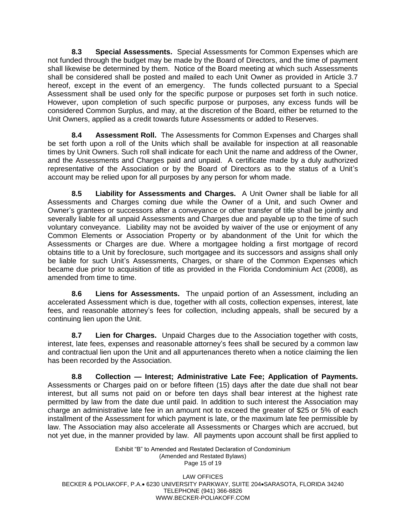**8.3 Special Assessments.** Special Assessments for Common Expenses which are not funded through the budget may be made by the Board of Directors, and the time of payment shall likewise be determined by them. Notice of the Board meeting at which such Assessments shall be considered shall be posted and mailed to each Unit Owner as provided in Article 3.7 hereof, except in the event of an emergency. The funds collected pursuant to a Special Assessment shall be used only for the specific purpose or purposes set forth in such notice. However, upon completion of such specific purpose or purposes, any excess funds will be considered Common Surplus, and may, at the discretion of the Board, either be returned to the Unit Owners, applied as a credit towards future Assessments or added to Reserves.

**8.4 Assessment Roll.** The Assessments for Common Expenses and Charges shall be set forth upon a roll of the Units which shall be available for inspection at all reasonable times by Unit Owners. Such roll shall indicate for each Unit the name and address of the Owner, and the Assessments and Charges paid and unpaid. A certificate made by a duly authorized representative of the Association or by the Board of Directors as to the status of a Unit's account may be relied upon for all purposes by any person for whom made.

**8.5 Liability for Assessments and Charges.** A Unit Owner shall be liable for all Assessments and Charges coming due while the Owner of a Unit, and such Owner and Owner's grantees or successors after a conveyance or other transfer of title shall be jointly and severally liable for all unpaid Assessments and Charges due and payable up to the time of such voluntary conveyance. Liability may not be avoided by waiver of the use or enjoyment of any Common Elements or Association Property or by abandonment of the Unit for which the Assessments or Charges are due. Where a mortgagee holding a first mortgage of record obtains title to a Unit by foreclosure, such mortgagee and its successors and assigns shall only be liable for such Unit's Assessments, Charges, or share of the Common Expenses which became due prior to acquisition of title as provided in the Florida Condominium Act (2008), as amended from time to time.

**8.6 Liens for Assessments.** The unpaid portion of an Assessment, including an accelerated Assessment which is due, together with all costs, collection expenses, interest, late fees, and reasonable attorney's fees for collection, including appeals, shall be secured by a continuing lien upon the Unit.

**8.7 Lien for Charges.** Unpaid Charges due to the Association together with costs, interest, late fees, expenses and reasonable attorney's fees shall be secured by a common law and contractual lien upon the Unit and all appurtenances thereto when a notice claiming the lien has been recorded by the Association.

**8.8 Collection — Interest; Administrative Late Fee; Application of Payments.** Assessments or Charges paid on or before fifteen (15) days after the date due shall not bear interest, but all sums not paid on or before ten days shall bear interest at the highest rate permitted by law from the date due until paid. In addition to such interest the Association may charge an administrative late fee in an amount not to exceed the greater of \$25 or 5% of each installment of the Assessment for which payment is late, or the maximum late fee permissible by law. The Association may also accelerate all Assessments or Charges which are accrued, but not yet due, in the manner provided by law. All payments upon account shall be first applied to

> Exhibit "B" to Amended and Restated Declaration of Condominium (Amended and Restated Bylaws) Page 15 of 19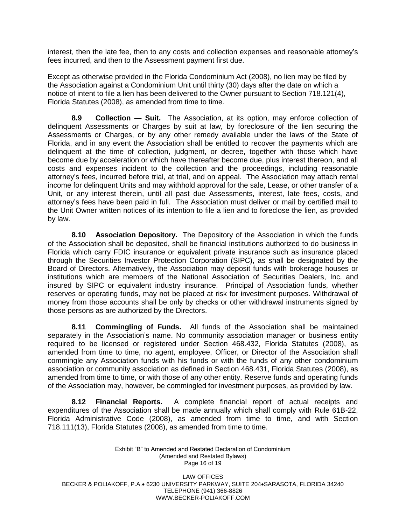interest, then the late fee, then to any costs and collection expenses and reasonable attorney's fees incurred, and then to the Assessment payment first due.

Except as otherwise provided in the Florida Condominium Act (2008), no lien may be filed by the Association against a Condominium Unit until thirty (30) days after the date on which a notice of intent to file a lien has been delivered to the Owner pursuant to Section 718.121(4), Florida Statutes (2008), as amended from time to time.

**8.9 Collection — Suit.** The Association, at its option, may enforce collection of delinquent Assessments or Charges by suit at law, by foreclosure of the lien securing the Assessments or Charges, or by any other remedy available under the laws of the State of Florida, and in any event the Association shall be entitled to recover the payments which are delinquent at the time of collection, judgment, or decree, together with those which have become due by acceleration or which have thereafter become due, plus interest thereon, and all costs and expenses incident to the collection and the proceedings, including reasonable attorney's fees, incurred before trial, at trial, and on appeal. The Association may attach rental income for delinquent Units and may withhold approval for the sale, Lease, or other transfer of a Unit, or any interest therein, until all past due Assessments, interest, late fees, costs, and attorney's fees have been paid in full. The Association must deliver or mail by certified mail to the Unit Owner written notices of its intention to file a lien and to foreclose the lien, as provided by law.

**8.10 Association Depository.** The Depository of the Association in which the funds of the Association shall be deposited, shall be financial institutions authorized to do business in Florida which carry FDIC insurance or equivalent private insurance such as insurance placed through the Securities Investor Protection Corporation (SIPC), as shall be designated by the Board of Directors. Alternatively, the Association may deposit funds with brokerage houses or institutions which are members of the National Association of Securities Dealers, Inc. and insured by SIPC or equivalent industry insurance. Principal of Association funds, whether reserves or operating funds, may not be placed at risk for investment purposes. Withdrawal of money from those accounts shall be only by checks or other withdrawal instruments signed by those persons as are authorized by the Directors.

**8.11 Commingling of Funds.** All funds of the Association shall be maintained separately in the Association's name. No community association manager or business entity required to be licensed or registered under Section 468.432, Florida Statutes (2008), as amended from time to time, no agent, employee, Officer, or Director of the Association shall commingle any Association funds with his funds or with the funds of any other condominium association or community association as defined in Section 468.431, Florida Statutes (2008), as amended from time to time, or with those of any other entity. Reserve funds and operating funds of the Association may, however, be commingled for investment purposes, as provided by law.

**8.12 Financial Reports.** A complete financial report of actual receipts and expenditures of the Association shall be made annually which shall comply with Rule 61B-22, Florida Administrative Code (2008), as amended from time to time, and with Section 718.111(13), Florida Statutes (2008), as amended from time to time.

#### Exhibit "B" to Amended and Restated Declaration of Condominium (Amended and Restated Bylaws) Page 16 of 19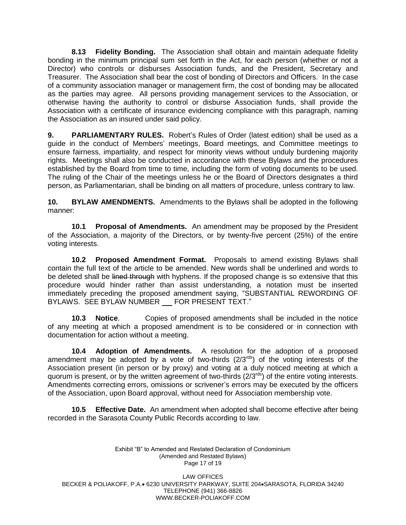**8.13 Fidelity Bonding.** The Association shall obtain and maintain adequate fidelity bonding in the minimum principal sum set forth in the Act, for each person (whether or not a Director) who controls or disburses Association funds, and the President, Secretary and Treasurer. The Association shall bear the cost of bonding of Directors and Officers. In the case of a community association manager or management firm, the cost of bonding may be allocated as the parties may agree. All persons providing management services to the Association, or otherwise having the authority to control or disburse Association funds, shall provide the Association with a certificate of insurance evidencing compliance with this paragraph, naming the Association as an insured under said policy.

**9. PARLIAMENTARY RULES.** Robert's Rules of Order (latest edition) shall be used as a guide in the conduct of Members' meetings, Board meetings, and Committee meetings to ensure fairness, impartiality, and respect for minority views without unduly burdening majority rights. Meetings shall also be conducted in accordance with these Bylaws and the procedures established by the Board from time to time, including the form of voting documents to be used. The ruling of the Chair of the meetings unless he or the Board of Directors designates a third person, as Parliamentarian, shall be binding on all matters of procedure, unless contrary to law.

**10. BYLAW AMENDMENTS.** Amendments to the Bylaws shall be adopted in the following manner:

**10.1 Proposal of Amendments.** An amendment may be proposed by the President of the Association, a majority of the Directors, or by twenty-five percent (25%) of the entire voting interests.

**10.2 Proposed Amendment Format.** Proposals to amend existing Bylaws shall contain the full text of the article to be amended. New words shall be underlined and words to be deleted shall be lined through with hyphens. If the proposed change is so extensive that this procedure would hinder rather than assist understanding, a notation must be inserted immediately preceding the proposed amendment saying, "SUBSTANTIAL REWORDING OF BYLAWS. SEE BYLAW NUMBER FOR PRESENT TEXT."

**10.3 Notice**. Copies of proposed amendments shall be included in the notice of any meeting at which a proposed amendment is to be considered or in connection with documentation for action without a meeting.

**10.4 Adoption of Amendments.** A resolution for the adoption of a proposed amendment may be adopted by a vote of two-thirds  $(2/3<sup>rds</sup>)$  of the voting interests of the Association present (in person or by proxy) and voting at a duly noticed meeting at which a quorum is present, or by the written agreement of two-thirds (2/3<sup>rds</sup>) of the entire voting interests. Amendments correcting errors, omissions or scrivener's errors may be executed by the officers of the Association, upon Board approval, without need for Association membership vote.

**10.5 Effective Date.** An amendment when adopted shall become effective after being recorded in the Sarasota County Public Records according to law.

> Exhibit "B" to Amended and Restated Declaration of Condominium (Amended and Restated Bylaws) Page 17 of 19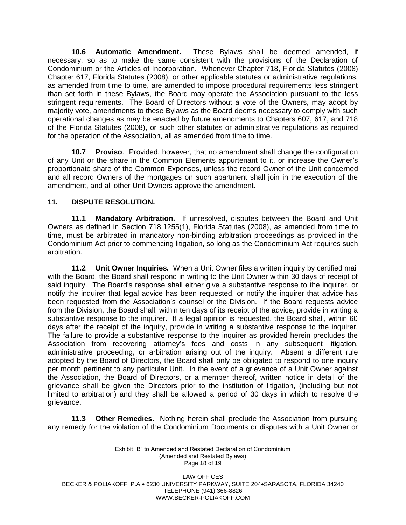**10.6 Automatic Amendment.** These Bylaws shall be deemed amended, if necessary, so as to make the same consistent with the provisions of the Declaration of Condominium or the Articles of Incorporation. Whenever Chapter 718, Florida Statutes (2008) Chapter 617, Florida Statutes (2008), or other applicable statutes or administrative regulations, as amended from time to time, are amended to impose procedural requirements less stringent than set forth in these Bylaws, the Board may operate the Association pursuant to the less stringent requirements. The Board of Directors without a vote of the Owners, may adopt by majority vote, amendments to these Bylaws as the Board deems necessary to comply with such operational changes as may be enacted by future amendments to Chapters 607, 617, and 718 of the Florida Statutes (2008), or such other statutes or administrative regulations as required for the operation of the Association, all as amended from time to time.

**10.7 Proviso**. Provided, however, that no amendment shall change the configuration of any Unit or the share in the Common Elements appurtenant to it, or increase the Owner's proportionate share of the Common Expenses, unless the record Owner of the Unit concerned and all record Owners of the mortgages on such apartment shall join in the execution of the amendment, and all other Unit Owners approve the amendment.

### **11. DISPUTE RESOLUTION.**

**11.1 Mandatory Arbitration.** If unresolved, disputes between the Board and Unit Owners as defined in Section 718.1255(1), Florida Statutes (2008), as amended from time to time, must be arbitrated in mandatory non-binding arbitration proceedings as provided in the Condominium Act prior to commencing litigation, so long as the Condominium Act requires such arbitration.

**11.2 Unit Owner Inquiries.** When a Unit Owner files a written inquiry by certified mail with the Board, the Board shall respond in writing to the Unit Owner within 30 days of receipt of said inquiry. The Board's response shall either give a substantive response to the inquirer, or notify the inquirer that legal advice has been requested, or notify the inquirer that advice has been requested from the Association's counsel or the Division. If the Board requests advice from the Division, the Board shall, within ten days of its receipt of the advice, provide in writing a substantive response to the inquirer. If a legal opinion is requested, the Board shall, within 60 days after the receipt of the inquiry, provide in writing a substantive response to the inquirer. The failure to provide a substantive response to the inquirer as provided herein precludes the Association from recovering attorney's fees and costs in any subsequent litigation, administrative proceeding, or arbitration arising out of the inquiry. Absent a different rule adopted by the Board of Directors, the Board shall only be obligated to respond to one inquiry per month pertinent to any particular Unit. In the event of a grievance of a Unit Owner against the Association, the Board of Directors, or a member thereof, written notice in detail of the grievance shall be given the Directors prior to the institution of litigation, (including but not limited to arbitration) and they shall be allowed a period of 30 days in which to resolve the grievance.

**11.3 Other Remedies.** Nothing herein shall preclude the Association from pursuing any remedy for the violation of the Condominium Documents or disputes with a Unit Owner or

> Exhibit "B" to Amended and Restated Declaration of Condominium (Amended and Restated Bylaws) Page 18 of 19